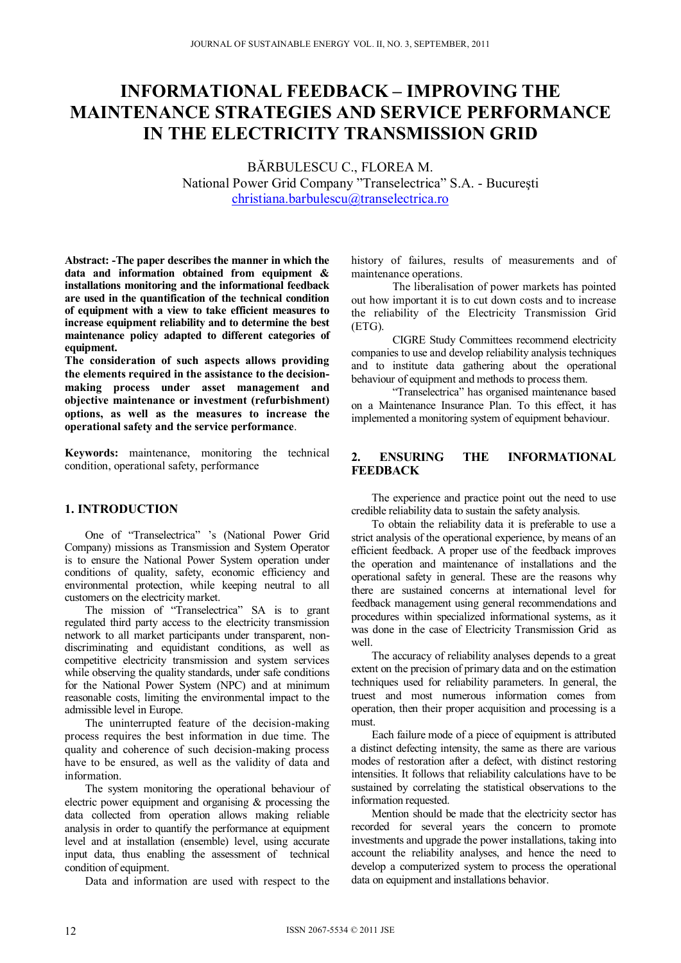# **INFORMATIONAL FEEDBACK – IMPROVING THE MAINTENANCE STRATEGIES AND SERVICE PERFORMANCE IN THE ELECTRICITY TRANSMISSION GRID**

BĂRBULESCU C., FLOREA M. National Power Grid Company "Transelectrica" S.A. - Bucureşti christiana.barbulescu@transelectrica.ro

**Abstract: -The paper describes the manner in which the data and information obtained from equipment & installations monitoring and the informational feedback are used in the quantification of the technical condition of equipment with a view to take efficient measures to increase equipment reliability and to determine the best maintenance policy adapted to different categories of equipment.** 

**The consideration of such aspects allows providing the elements required in the assistance to the decisionmaking process under asset management and objective maintenance or investment (refurbishment) options, as well as the measures to increase the operational safety and the service performance**.

**Keywords:** maintenance, monitoring the technical condition, operational safety, performance

## **1. INTRODUCTION**

One of "Transelectrica" 's (National Power Grid Company) missions as Transmission and System Operator is to ensure the National Power System operation under conditions of quality, safety, economic efficiency and environmental protection, while keeping neutral to all customers on the electricity market.

The mission of "Transelectrica" SA is to grant regulated third party access to the electricity transmission network to all market participants under transparent, nondiscriminating and equidistant conditions, as well as competitive electricity transmission and system services while observing the quality standards, under safe conditions for the National Power System (NPC) and at minimum reasonable costs, limiting the environmental impact to the admissible level in Europe.

The uninterrupted feature of the decision-making process requires the best information in due time. The quality and coherence of such decision-making process have to be ensured, as well as the validity of data and information.

The system monitoring the operational behaviour of electric power equipment and organising & processing the data collected from operation allows making reliable analysis in order to quantify the performance at equipment level and at installation (ensemble) level, using accurate input data, thus enabling the assessment of technical condition of equipment.

Data and information are used with respect to the

history of failures, results of measurements and of maintenance operations.

 The liberalisation of power markets has pointed out how important it is to cut down costs and to increase the reliability of the Electricity Transmission Grid (ETG).

 CIGRE Study Committees recommend electricity companies to use and develop reliability analysis techniques and to institute data gathering about the operational behaviour of equipment and methods to process them.

 "Transelectrica" has organised maintenance based on a Maintenance Insurance Plan. To this effect, it has implemented a monitoring system of equipment behaviour.

## **2. ENSURING THE INFORMATIONAL FEEDBACK**

The experience and practice point out the need to use credible reliability data to sustain the safety analysis.

To obtain the reliability data it is preferable to use a strict analysis of the operational experience, by means of an efficient feedback. A proper use of the feedback improves the operation and maintenance of installations and the operational safety in general. These are the reasons why there are sustained concerns at international level for feedback management using general recommendations and procedures within specialized informational systems, as it was done in the case of Electricity Transmission Grid as well.

The accuracy of reliability analyses depends to a great extent on the precision of primary data and on the estimation techniques used for reliability parameters. In general, the truest and most numerous information comes from operation, then their proper acquisition and processing is a must.

Each failure mode of a piece of equipment is attributed a distinct defecting intensity, the same as there are various modes of restoration after a defect, with distinct restoring intensities. It follows that reliability calculations have to be sustained by correlating the statistical observations to the information requested.

Mention should be made that the electricity sector has recorded for several years the concern to promote investments and upgrade the power installations, taking into account the reliability analyses, and hence the need to develop a computerized system to process the operational data on equipment and installations behavior.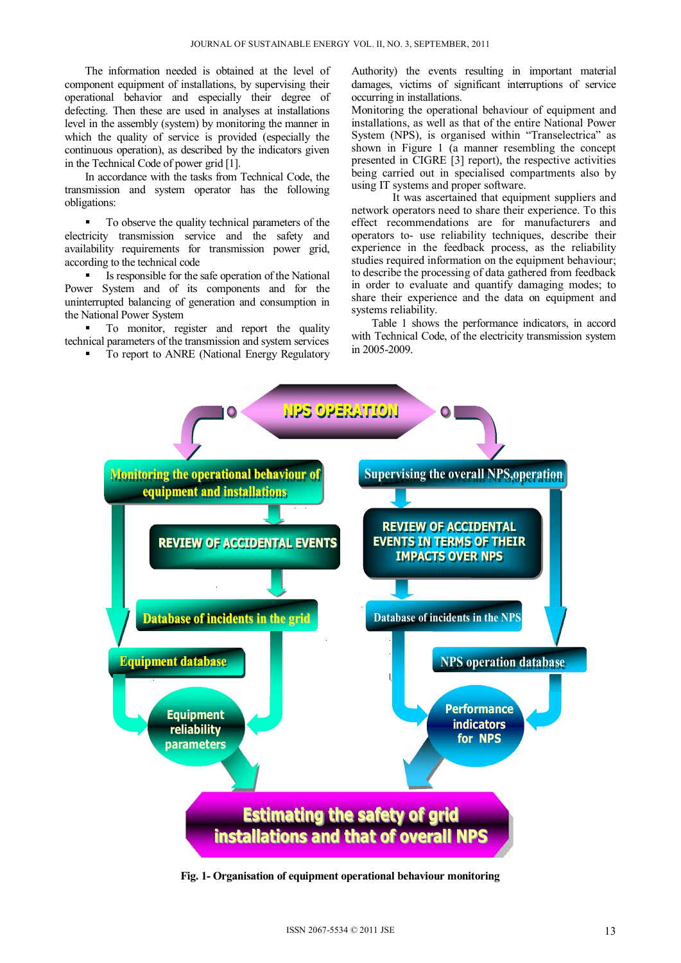The information needed is obtained at the level of component equipment of installations, by supervising their operational behavior and especially their degree of defecting. Then these are used in analyses at installations level in the assembly (system) by monitoring the manner in which the quality of service is provided (especially the continuous operation), as described by the indicators given in the Technical Code of power grid [1].

In accordance with the tasks from Technical Code, the transmission and system operator has the following obligations:

 To observe the quality technical parameters of the electricity transmission service and the safety and availability requirements for transmission power grid, according to the technical code

 Is responsible for the safe operation of the National Power System and of its components and for the uninterrupted balancing of generation and consumption in the National Power System

 To monitor, register and report the quality technical parameters of the transmission and system services

To report to ANRE (National Energy Regulatory

Authority) the events resulting in important material damages, victims of significant interruptions of service occurring in installations.

Monitoring the operational behaviour of equipment and installations, as well as that of the entire National Power System (NPS), is organised within "Transelectrica" as shown in Figure 1 (a manner resembling the concept presented in CIGRE [3] report), the respective activities being carried out in specialised compartments also by using IT systems and proper software.

It was ascertained that equipment suppliers and network operators need to share their experience. To this effect recommendations are for manufacturers and operators to- use reliability techniques, describe their experience in the feedback process, as the reliability studies required information on the equipment behaviour; to describe the processing of data gathered from feedback in order to evaluate and quantify damaging modes; to share their experience and the data on equipment and systems reliability.

Table 1 shows the performance indicators, in accord with Technical Code, of the electricity transmission system in 2005-2009.



**Fig. 1- Organisation of equipment operational behaviour monitoring**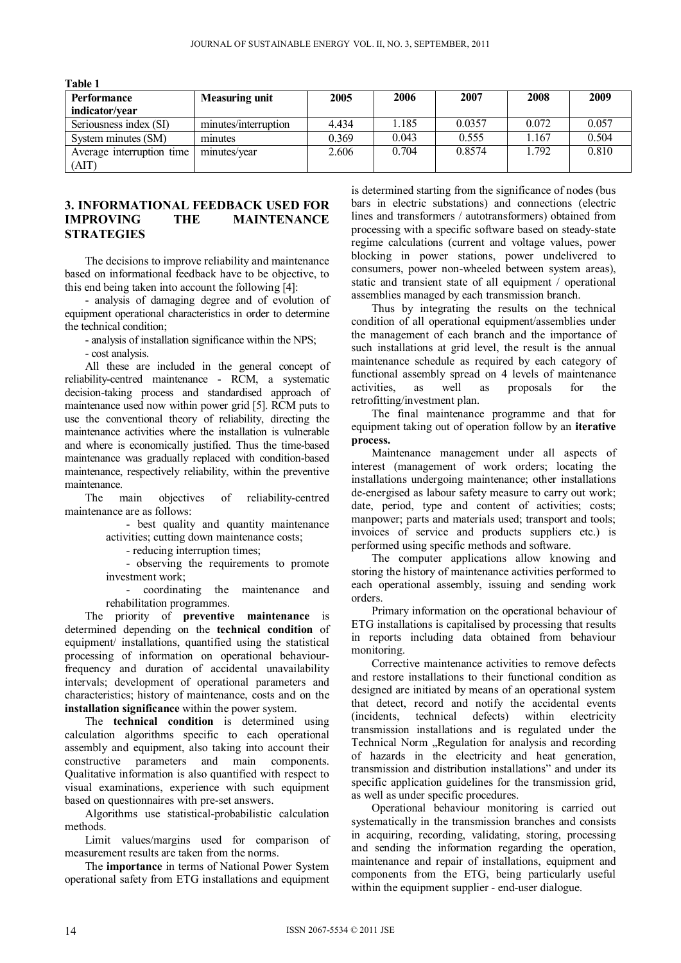| Performance               | <b>Measuring unit</b> | 2005  | 2006  | 2007   | 2008   | 2009  |
|---------------------------|-----------------------|-------|-------|--------|--------|-------|
| indicator/year            |                       |       |       |        |        |       |
| Seriousness index (SI)    | minutes/interruption  | 4.434 | l.185 | 0.0357 | 0.072  | 0.057 |
| System minutes (SM)       | minutes               | 0.369 | 0.043 | 0.555  | r. 167 | 0.504 |
| Average interruption time | minutes/year          | 2.606 | 0.704 | 0.8574 | 1.792  | 0.810 |
| (AIT)                     |                       |       |       |        |        |       |

**Table 1** 

## **3. INFORMATIONAL FEEDBACK USED FOR IMPROVING THE MAINTENANCE STRATEGIES**

The decisions to improve reliability and maintenance based on informational feedback have to be objective, to this end being taken into account the following [4]:

- analysis of damaging degree and of evolution of equipment operational characteristics in order to determine the technical condition;

- analysis of installation significance within the NPS;

- cost analysis.

All these are included in the general concept of reliability-centred maintenance - RCM, a systematic decision-taking process and standardised approach of maintenance used now within power grid [5]. RCM puts to use the conventional theory of reliability, directing the maintenance activities where the installation is vulnerable and where is economically justified. Thus the time-based maintenance was gradually replaced with condition-based maintenance, respectively reliability, within the preventive maintenance.

The main objectives of reliability-centred maintenance are as follows:

> - best quality and quantity maintenance activities; cutting down maintenance costs;

- reducing interruption times;

- observing the requirements to promote investment work;

- coordinating the maintenance and rehabilitation programmes.

The priority of **preventive maintenance** is determined depending on the **technical condition** of equipment/ installations, quantified using the statistical processing of information on operational behaviourfrequency and duration of accidental unavailability intervals; development of operational parameters and characteristics; history of maintenance, costs and on the **installation significance** within the power system.

The **technical condition** is determined using calculation algorithms specific to each operational assembly and equipment, also taking into account their constructive parameters and main components. Qualitative information is also quantified with respect to visual examinations, experience with such equipment based on questionnaires with pre-set answers.

Algorithms use statistical-probabilistic calculation methods.

Limit values/margins used for comparison of measurement results are taken from the norms.

The **importance** in terms of National Power System operational safety from ETG installations and equipment

is determined starting from the significance of nodes (bus bars in electric substations) and connections (electric lines and transformers / autotransformers) obtained from processing with a specific software based on steady-state regime calculations (current and voltage values, power blocking in power stations, power undelivered to consumers, power non-wheeled between system areas), static and transient state of all equipment / operational assemblies managed by each transmission branch.

Thus by integrating the results on the technical condition of all operational equipment/assemblies under the management of each branch and the importance of such installations at grid level, the result is the annual maintenance schedule as required by each category of functional assembly spread on 4 levels of maintenance activities, as well as proposals for the retrofitting/investment plan.

The final maintenance programme and that for equipment taking out of operation follow by an **iterative process.** 

Maintenance management under all aspects of interest (management of work orders; locating the installations undergoing maintenance; other installations de-energised as labour safety measure to carry out work; date, period, type and content of activities; costs; manpower; parts and materials used; transport and tools; invoices of service and products suppliers etc.) is performed using specific methods and software.

The computer applications allow knowing and storing the history of maintenance activities performed to each operational assembly, issuing and sending work orders.

Primary information on the operational behaviour of ETG installations is capitalised by processing that results in reports including data obtained from behaviour monitoring.

Corrective maintenance activities to remove defects and restore installations to their functional condition as designed are initiated by means of an operational system that detect, record and notify the accidental events (incidents, technical defects) within electricity transmission installations and is regulated under the Technical Norm "Regulation for analysis and recording of hazards in the electricity and heat generation, transmission and distribution installations" and under its specific application guidelines for the transmission grid, as well as under specific procedures.

Operational behaviour monitoring is carried out systematically in the transmission branches and consists in acquiring, recording, validating, storing, processing and sending the information regarding the operation, maintenance and repair of installations, equipment and components from the ETG, being particularly useful within the equipment supplier - end-user dialogue.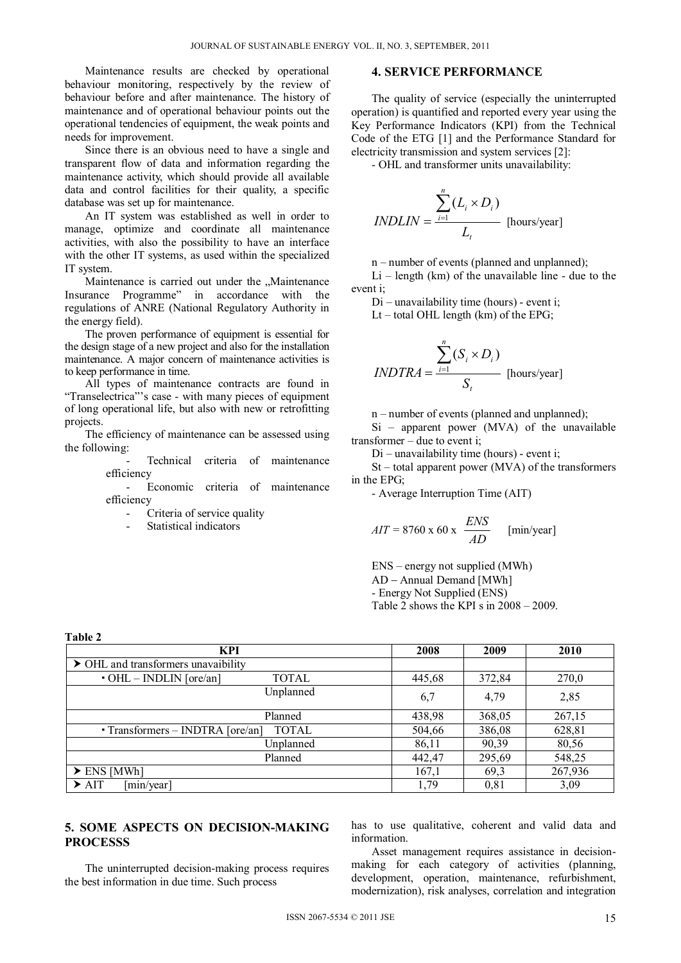Maintenance results are checked by operational behaviour monitoring, respectively by the review of behaviour before and after maintenance. The history of maintenance and of operational behaviour points out the operational tendencies of equipment, the weak points and needs for improvement.

Since there is an obvious need to have a single and transparent flow of data and information regarding the maintenance activity, which should provide all available data and control facilities for their quality, a specific database was set up for maintenance.

An IT system was established as well in order to manage, optimize and coordinate all maintenance activities, with also the possibility to have an interface with the other IT systems, as used within the specialized IT system.

Maintenance is carried out under the "Maintenance Insurance Programme" in accordance with the regulations of ANRE (National Regulatory Authority in the energy field).

The proven performance of equipment is essential for the design stage of a new project and also for the installation maintenance. A major concern of maintenance activities is to keep performance in time.

All types of maintenance contracts are found in "Transelectrica"'s case - with many pieces of equipment of long operational life, but also with new or retrofitting projects.

The efficiency of maintenance can be assessed using the following:

> Technical criteria of maintenance efficiency

> Economic criteria of maintenance efficiency

Criteria of service quality

Statistical indicators

**Table 2**

#### **4. SERVICE PERFORMANCE**

The quality of service (especially the uninterrupted operation) is quantified and reported every year using the Key Performance Indicators (KPI) from the Technical Code of the ETG [1] and the Performance Standard for electricity transmission and system services [2]:

- OHL and transformer units unavailability:

$$
INDLIN = \frac{\sum_{i=1}^{n} (L_i \times D_i)}{L_i}
$$
 [hours/year]

n – number of events (planned and unplanned);

 $Li$  – length (km) of the unavailable line - due to the event i;

Di – unavailability time (hours) - event i;

Lt – total OHL length (km) of the EPG;

$$
INDTRA = \frac{\sum_{i=1}^{n} (S_i \times D_i)}{S_t}
$$
 [hours/year]

n – number of events (planned and unplanned);

Si – apparent power (MVA) of the unavailable transformer – due to event i;

Di – unavailability time (hours) - event i;

St – total apparent power (MVA) of the transformers in the EPG;

- Average Interruption Time (AIT)

$$
AIT = 8760 \times 60 \times \frac{ENS}{AD} \quad [min/year]
$$

ENS – energy not supplied (MWh) AD - Annual Demand [MWh] - Energy Not Supplied (ENS) Table 2 shows the KPI s in 2008 – 2009.

| KPI                                       | 2008   | 2009   | 2010    |
|-------------------------------------------|--------|--------|---------|
| > OHL and transformers unavaibility       |        |        |         |
| $\cdot$ OHL – INDLIN [ore/an]<br>TOTAL    | 445,68 | 372,84 | 270,0   |
| Unplanned                                 | 6,7    | 4,79   | 2,85    |
| Planned                                   | 438,98 | 368,05 | 267,15  |
| • Transformers – INDTRA [ore/an]<br>TOTAL | 504,66 | 386,08 | 628,81  |
| Unplanned                                 | 86,11  | 90,39  | 80,56   |
| Planned                                   | 442,47 | 295,69 | 548,25  |
| $\triangleright$ ENS [MWh]                | 167,1  | 69,3   | 267,936 |
| $\triangleright$ AIT<br>[min/year]        | 1,79   | 0,81   | 3,09    |

### **5. SOME ASPECTS ON DECISION-MAKING PROCESSS**

The uninterrupted decision-making process requires the best information in due time. Such process

has to use qualitative, coherent and valid data and information.

Asset management requires assistance in decisionmaking for each category of activities (planning, development, operation, maintenance, refurbishment, modernization), risk analyses, correlation and integration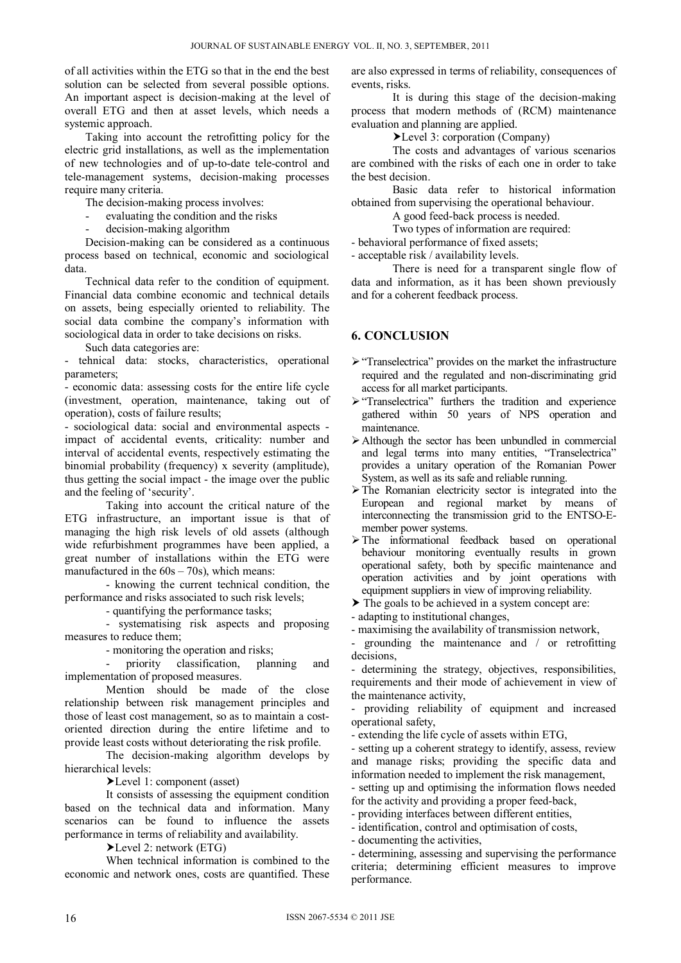of all activities within the ETG so that in the end the best solution can be selected from several possible options. An important aspect is decision-making at the level of overall ETG and then at asset levels, which needs a systemic approach.

Taking into account the retrofitting policy for the electric grid installations, as well as the implementation of new technologies and of up-to-date tele-control and tele-management systems, decision-making processes require many criteria.

The decision-making process involves:

evaluating the condition and the risks

decision-making algorithm

Decision-making can be considered as a continuous process based on technical, economic and sociological data.

Technical data refer to the condition of equipment. Financial data combine economic and technical details on assets, being especially oriented to reliability. The social data combine the company's information with sociological data in order to take decisions on risks.

Such data categories are:

tehnical data: stocks, characteristics, operational parameters;

- economic data: assessing costs for the entire life cycle (investment, operation, maintenance, taking out of operation), costs of failure results;

- sociological data: social and environmental aspects impact of accidental events, criticality: number and interval of accidental events, respectively estimating the binomial probability (frequency) x severity (amplitude), thus getting the social impact - the image over the public and the feeling of 'security'.

Taking into account the critical nature of the ETG infrastructure, an important issue is that of managing the high risk levels of old assets (although wide refurbishment programmes have been applied, a great number of installations within the ETG were manufactured in the  $60s - 70s$ ), which means:

 - knowing the current technical condition, the performance and risks associated to such risk levels;

- quantifying the performance tasks;

 - systematising risk aspects and proposing measures to reduce them;

- monitoring the operation and risks;

priority classification, planning and implementation of proposed measures.

Mention should be made of the close relationship between risk management principles and those of least cost management, so as to maintain a costoriented direction during the entire lifetime and to provide least costs without deteriorating the risk profile.

The decision-making algorithm develops by hierarchical levels:

Level 1: component (asset)

It consists of assessing the equipment condition based on the technical data and information. Many scenarios can be found to influence the assets performance in terms of reliability and availability.

Level 2: network (ETG)

When technical information is combined to the economic and network ones, costs are quantified. These

are also expressed in terms of reliability, consequences of events, risks.

It is during this stage of the decision-making process that modern methods of (RCM) maintenance evaluation and planning are applied.

Level 3: corporation (Company)

The costs and advantages of various scenarios are combined with the risks of each one in order to take the best decision.

 Basic data refer to historical information obtained from supervising the operational behaviour.

A good feed-back process is needed.

Two types of information are required:

- behavioral performance of fixed assets;

- acceptable risk / availability levels.

There is need for a transparent single flow of data and information, as it has been shown previously and for a coherent feedback process.

## **6. CONCLUSION**

- $\triangleright$  "Transelectrica" provides on the market the infrastructure required and the regulated and non-discriminating grid access for all market participants.
- $\triangleright$  "Transelectrica" furthers the tradition and experience gathered within 50 years of NPS operation and maintenance.
- Although the sector has been unbundled in commercial and legal terms into many entities, "Transelectrica" provides a unitary operation of the Romanian Power System, as well as its safe and reliable running.
- $\triangleright$  The Romanian electricity sector is integrated into the European and regional market by means of interconnecting the transmission grid to the ENTSO-Emember power systems.
- The informational feedback based on operational behaviour monitoring eventually results in grown operational safety, both by specific maintenance and operation activities and by joint operations with equipment suppliers in view of improving reliability.

 $\triangleright$  The goals to be achieved in a system concept are:

- adapting to institutional changes,

- maximising the availability of transmission network,

- grounding the maintenance and / or retrofitting decisions,

- determining the strategy, objectives, responsibilities, requirements and their mode of achievement in view of the maintenance activity,

- providing reliability of equipment and increased operational safety,

- extending the life cycle of assets within ETG,

- setting up a coherent strategy to identify, assess, review and manage risks; providing the specific data and information needed to implement the risk management,

- setting up and optimising the information flows needed for the activity and providing a proper feed-back,

- providing interfaces between different entities,
- identification, control and optimisation of costs,

- documenting the activities,

- determining, assessing and supervising the performance criteria; determining efficient measures to improve performance.